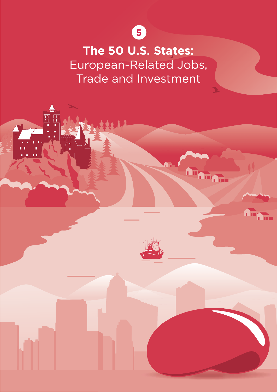

**The 50 U.S. States:** European-Related Jobs, Trade and Investment

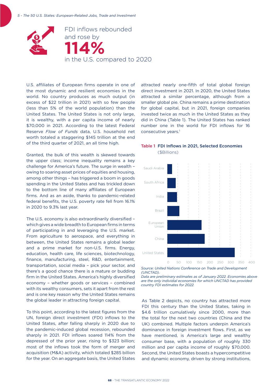

U.S. affiliates of European firms operate in one of the most dynamic and resilient economies in the world. No country produces as much output (in excess of \$22 trillion in 2021) with so few people (less than 5% of the world population) than the United States. The United States is not only large, it is wealthy, with a per capita income of nearly \$70,000 in 2021. According to the latest Federal Reserve *Flow of Funds* data, U.S. household net worth totaled a staggering \$145 trillion at the end of the third quarter of 2021, an all time high.

Granted, the bulk of this wealth is skewed towards the upper class; income inequality remains a key challenge for America's future. The surge in wealth – owing to soaring asset prices of equities and housing, among other things – has triggered a boom in goods spending in the United States and has trickled down to the bottom line of many affiliates of European firms. And as an aside, thanks to pandemic-related federal benefits, the U.S. poverty rate fell from 16.1% in 2020 to 9.3% last year.

The U.S. economy is also extraordinarily diversified – which gives a wide breadth to European firms in terms of participating in and leveraging the U.S. market. From agriculture to aerospace, and everything in between, the United States remains a global leader and a prime market for non-U.S. firms. Energy, education, health care, life sciences, biotechnology, finance, manufacturing, steel, R&D, entertainment, transportation, social media – pick your sector, and there's a good chance there is a mature or budding firm in the United States. America's highly diversified economy – whether goods or services – combined with its wealthy consumers, sets it apart from the rest and is one key reason why the United States remains the global leader in attracting foreign capital.

To this point, according to the latest figures from the UN, foreign direct investment (FDI) inflows to the United States, after falling sharply in 2020 due to the pandemic-induced global recession, rebounded sharply in 2021. FDI inflows soared 114% from the depressed of the prior year, rising to \$323 billion; most of the inflows took the form of merger and acquisition (M&A) activity, which totaled \$285 billion for the year. On an aggregate basis, the United States attracted nearly one-fifth of total global foreign direct investment in 2021. In 2020, the United States attracted a similar percentage, although from a smaller global pie. China remains a prime destination for global capital, but in 2021, foreign companies invested twice as much in the United States as they did in China (Table 1). The United States has ranked number one in the world for FDI inflows for 16 consecutive years.<sup>1</sup>

#### Table 1 FDI Inflows in 2021, Selected Economies (\$Billions)



*<sup>(</sup>UNCTAD).*

*Data are preliminary estimates as of January 2022. Economies above are the only individial economies for which UNCTAD has provided country FDI estimates for 2022.*

As Table 2 depicts, no country has attracted more FDI this century than the United States, taking in \$4.6 trillion cumulatively since 2000, more than the total for the next two countries (China and the UK) combined. Multiple factors underpin America's dominance in foreign investment flows. First, as we have mentioned, is America's large and wealthy consumer base, with a population of roughly 330 million and per capita income of roughly \$70,000. Second, the United States boasts a hypercompetitive and dynamic economy, driven by strong institutions,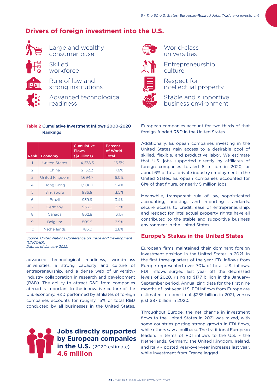# **Drivers of foreign investment into the U.S.**



Large and wealthy consumer base

Skilled workforce

Rule of law and strong institutions



Advanced technological readiness

#### Table 2 Cumulative Investment Inflows 2000-2020 Rankings

| Rank           | Economy              | <b>Cumulative</b><br><b>Flows</b><br>(\$Billions) | Percent<br>of World<br><b>Total</b> |
|----------------|----------------------|---------------------------------------------------|-------------------------------------|
| 1              | <b>United States</b> | 4,638.3                                           | 16.5%                               |
| 2              | China                | 2,132.2                                           | 7.6%                                |
| 3              | United Kingdom       | 1.694.7                                           | 6.0%                                |
| 4              | Hong Kong            | 1.506.7                                           | 5.4%                                |
| 5              | Singapore            | 986.9                                             | 3.5%                                |
| 6              | <b>Brazil</b>        | 939.9                                             | 3.4%                                |
| $\overline{7}$ | Germany              | 933.2                                             | 3.3%                                |
| 8              | Canada               | 862.8                                             | 3.1%                                |
| 9              | Belgium              | 809.5                                             | 2.9%                                |
| 10             | <b>Netherlands</b>   | 785.0                                             | 2.8%                                |

*Source: United Nations Conference on Trade and Development (UNCTAD).*

*Data as of January 2022.*

advanced technological readiness, world-class universities, a strong capacity and culture of entrepreneurship, and a dense web of universityindustry collaboration in research and development (R&D). The ability to attract R&D from companies abroad is important to the innovative culture of the U.S. economy. R&D performed by affiliates of foreign companies accounts for roughly 15% of total R&D conducted by all businesses in the United States.





World-class universities



Entrepreneurship culture



Respect for intellectual property

Stable and supportive business environment

European companies account for two-thirds of that foreign-funded R&D in the United States.

Additionally, European companies investing in the United States gain access to a desirable pool of skilled, flexible, and productive labor. We estimate that U.S. jobs supported directly by affiliates of foreign companies totaled 8 million in 2020, or about 6% of total private industry employment in the United States. European companies accounted for 61% of that figure, or nearly 5 million jobs.

Meanwhile, transparent rule of law, sophisticated accounting, auditing, and reporting standards, secure access to credit, ease of entrepreneurship, and respect for intellectual property rights have all contributed to the stable and supportive business environment in the United States.

## **Europe's Stakes in the United States**

European firms maintained their dominant foreign investment position in the United States in 2021. In the first three quarters of the year, FDI inflows from Europe represented over 70% of total U.S. inflows. FDI inflows surged last year off the depressed levels of 2020, rising to \$177 billion in the January-September period. Annualizing data for the first nine months of last year, U.S. FDI inflows from Europe are estimated to come in at \$235 billion in 2021, versus just \$87 billion in 2020.

Throughout Europe, the net change in investment flows to the United States in 2021 was mixed, with some countries posting strong growth in FDI flows, while others saw a pullback. The traditional European leaders in terms of FDI inflows to the U.S. – the Netherlands, Germany, the United Kingdom, Ireland, and Italy – posted year-over-year increases last year, while investment from France lagged.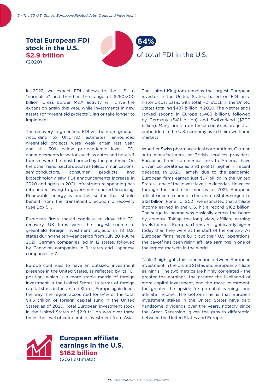

In 2022, we expect FDI inflows to the U.S. to "normalize" and trend in the range of \$250-300 billion. Cross border M&A activity will drive the expansion again this year, while investments in new assets (or "greenfield projects") lag or take longer to implement.

The recovery in greenfield FDI will be more gradual. According to UNCTAD estimates, announced greenfield projects were weak again last year, and still 30% below pre-pandemic levels. FDI announcements in sectors such as autos and hotels & tourism were the most harmed by the pandemic. On the other hand, sectors such as telecommunications, semiconductors, consumer products and biotechnology saw FDI announcements increase in 2020 and again in 2021. Infrastructure spending has rebounded owing to government-backed financing. Renewable energy is another sector that should benefit from the transatlantic economic recovery (See Box 5.1).

European firms should continue to drive the FDI recovery. UK firms were the largest source of greenfield foreign investment projects in 18 U.S. states during the ten-year period from July 2011-June 2021. German companies led in 12 states, followed by Canadian companies in 9 states and Japanese companies in 7.

Europe continues to have an outsized investment presence in the United States, as reflected by its FDI position, which is a more stable metric of foreign investment in the United States. In terms of foreign capital stock in the United States, Europe again leads the way. The region accounted for 64% of the total \$4.6 trillion of foreign capital sunk in the United States as of 2020. Total European investment stock in the United States of \$2.9 trillion was over three times the level of comparable investment from Asia.

The United Kingdom remains the largest European investor in the United States, based on FDI on a historic cost basis, with total FDI stock in the United States totaling \$487 billion in 2020. The Netherlands ranked second in Europe (\$483 billion), followed by Germany (\$411 billion) and Switzerland (\$300 billion). Many firms from these countries are just as embedded in the U.S. economy as in their own home markets.

Whether Swiss pharmaceutical corporations, German auto manufacturers, or British services providers, European firms' commercial links to America have driven corporate sales and profits higher in recent decades. In 2020, largely due to the pandemic, European firms earned just \$97 billion in the United States – one of the lowest levels in decades. However, through the first nine months of 2021, European affiliate income earned in the United States surged to \$121 billion. For all of 2021, we estimated that affiliate income earned in the U.S. hit a record \$162 billion. The surge in income was basically across the board by country. Taking the long view, affiliate earning levels for most European firms are significantly higher today than they were at the start of the century. As European firms have built out their U.S. operations, the payoff has been rising affiliate earnings in one of the largest markets in the world.

Table 3 highlights this connection between European investment in the United States and European affiliate earnings. The two metrics are highly correlated – the greater the earnings, the greater the likelihood of more capital investment, and the more investment, the greater the upside for potential earnings and affiliate income. The bottom line is that Europe's investment stakes in the United States have paid handsome dividends over the years, notably since the Great Recession, given the growth differential between the United States and Europe.



**European affiliate earnings in the U.S. \$162 billion**  (2021 estimate)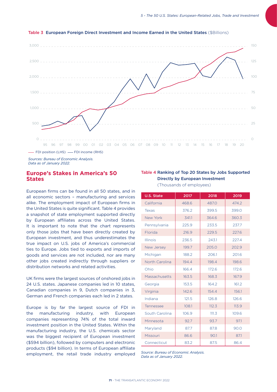

#### Table 3 European Foreign Direct Investment and Income Earned in the United States (\$Billions)

*Sources: Bureau of Economic Analysis. Data as of January 2022.*

### **Europe's Stakes in America's 50 States**

European firms can be found in all 50 states, and in all economic sectors – manufacturing and services alike. The employment impact of European firms in the United States is quite significant. Table 4 provides a snapshot of state employment supported directly by European affiliates across the United States. It is important to note that the chart represents only those jobs that have been directly created by European investment, and thus underestimates the true impact on U.S. jobs of America's commercial ties to Europe. Jobs tied to exports and imports of goods and services are not included, nor are many other jobs created indirectly through suppliers or distribution networks and related activities.

UK firms were the largest sources of onshored jobs in 24 U.S. states. Japanese companies led in 10 states, Canadian companies in 9, Dutch companies in 3, German and French companies each led in 2 states.

Europe is by far the largest source of FDI in the manufacturing industry, with European companies representing 74% of the total inward investment position in the United States. Within the manufacturing industry, the U.S. chemicals sector was the biggest recipient of European investment (\$594 billion), followed by computers and electronic products (\$94 billion). In terms of European affiliate employment, the retail trade industry employed

## Table 4 Ranking of Top 20 States by Jobs Supported Directly by European Investment

(Thousands of employees)

| <b>U.S. State</b> | 2017  | 2018  | 2019  |
|-------------------|-------|-------|-------|
| California        | 468.6 | 487.0 | 474.2 |
| Texas             | 376.2 | 399.5 | 399.0 |
| New York          | 341.1 | 364.6 | 360.3 |
| Pennsylvania      | 225.9 | 233.5 | 237.7 |
| Florida           | 216.9 | 229.5 | 227.6 |
| Illinois          | 236.5 | 243.1 | 227.4 |
| New Jersey        | 199.7 | 205.0 | 202.9 |
| Michigan          | 188.2 | 206.1 | 201.6 |
| North Carolina    | 194.4 | 198.4 | 198.6 |
| Ohio              | 166.4 | 172.6 | 172.6 |
| Massachusetts     | 163.5 | 168.3 | 167.9 |
| Georgia           | 153.5 | 164.2 | 161.2 |
| Virginia          | 142.6 | 154.4 | 156.1 |
| Indiana           | 121.5 | 126.8 | 126.6 |
| Tennessee         | 108.1 | 112.3 | 113.9 |
| South Carolina    | 106.9 | 111.3 | 109.6 |
| Minnesota         | 92.7  | 93.7  | 97.1  |
| Maryland          | 87.7  | 87.8  | 90.0  |
| Missouri          | 86.6  | 90.1  | 87.1  |
| Connecticut       | 83.2  | 87.5  | 86.4  |

*Source: Bureau of Economic Analysis. Data as of January 2022.*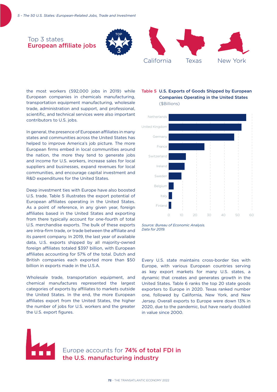## Top 3 states European affiliate jobs





the most workers (592,000 jobs in 2019) while European companies in chemicals manufacturing, transportation equipment manufacturing, wholesale trade, administration and support, and professional, scientific, and technical services were also important contributors to U.S. jobs.

In general, the presence of European affiliates in many states and communities across the United States has helped to improve America's job picture. The more European firms embed in local communities around the nation, the more they tend to generate jobs and income for U.S. workers, increase sales for local suppliers and businesses, expand revenues for local communities, and encourage capital investment and R&D expenditures for the United States.

Deep investment ties with Europe have also boosted U.S. trade. Table 5 illustrates the export potential of European affiliates operating in the United States. As a point of reference, in any given year, foreign affiliates based in the United States and exporting from there typically account for one-fourth of total U.S. merchandise exports. The bulk of these exports are intra-firm trade, or trade between the affiliate and its parent company. In 2019, the last year of available data, U.S. exports shipped by all majority-owned foreign affiliates totaled \$397 billion, with European affiliates accounting for 57% of the total. Dutch and British companies each exported more than \$50 billion in exports made in the U.S.A.

Wholesale trade, transportation equipment, and chemical manufactures represented the largest categories of exports by affiliates to markets outside the United States. In the end, the more European affiliates export from the United States, the higher the number of jobs for U.S. workers and the greater the U.S. export figures.

### Table 5 U.S. Exports of Goods Shipped by European Companies Operating in the United States (\$Billions)



*Source: Bureau of Economic Analysis. Data for 2019.*

Every U.S. state maintains cross-border ties with Europe, with various European countries serving as key export markets for many U.S. states, a dynamic that creates and generates growth in the United States. Table 6 ranks the top 20 state goods exporters to Europe in 2020. Texas ranked number one, followed by California, New York, and New Jersey. Overall exports to Europe were down 13% in 2020, due to the pandemic, but have nearly doubled in value since 2000.

Europe accounts for 74% of total FDI in the U.S. manufacturing industry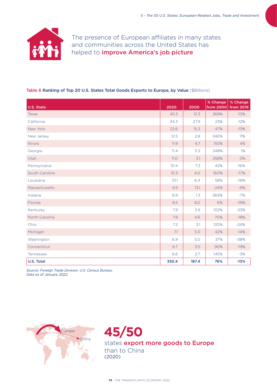

The presence of European affiliates in many states and communities across the United States has helped to *improve America's job picture* 

#### Table 6 Ranking of Top 20 U.S. States Total Goods Exports to Europe, by Value (\$Billions)

| U.S. State     | 2020 | 2000  | % Change<br>from 2000 | % Change<br>from 2019 |
|----------------|------|-------|-----------------------|-----------------------|
| <b>Texas</b>   |      | 12.3  | 269%                  | $-13%$                |
| California     | 34.3 | 27.9  | 23%                   | $-12%$                |
| New York       | 22.6 | 15.3  | 47%                   | $-13%$                |
| New Jersey     | 12.5 | 2.8   | 346%                  | 11%                   |
| Illinois       | 11.9 | 4.7   | 155%                  | 4%                    |
| Georgia        |      | 3.3   | 248%                  | 1%                    |
| Utah           |      | 3.1   | 258%                  | <b>O%</b>             |
| Pennsylvania   |      | 7.3   | 42%                   | $-16%$                |
| South Carolina |      | 4.0   | 160%                  | $-17%$                |
| Louisiana      |      | 6.4   | 58%                   | $-18%$                |
| Massachusetts  |      | 13.1  | $-24%$                | $-9%$                 |
| Indiana        |      | 1.3   | 563%                  | $-7%$                 |
| Florida        |      | 8.0   | 6%                    | $-19%$                |
| Kentucky       |      | 3.9   | 102%                  | $-33%$                |
| North Carolina |      | 4.6   | 70%                   | $-18%$                |
| Ohio           |      | 3.1   | 130%                  | $-24%$                |
| Michigan       |      | 5.0   | 42%                   | $-14%$                |
| Washington     |      | 5.0   | 37%                   | $-38%$                |
| Connecticut    |      | 3.5   | 90%                   | $-19%$                |
| Tennessee      |      | 2.7   | 145%                  | $-3%$                 |
| U.S. Total     |      | 187.4 | 76%                   | $-13%$                |

*Source: Foreign Trade Division, U.S. Census Bureau. Data as of January 2022.*



**45/50** states export more goods to Europe than to China (2020)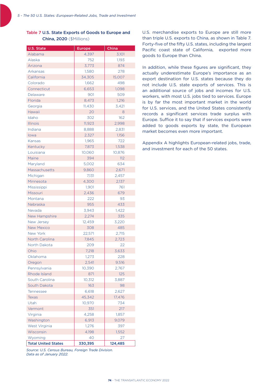### Table 7 U.S. State Exports of Goods to Europe and China, 2020 (\$Millions)

| U.S. State                 | <b>Europe</b> | China   |
|----------------------------|---------------|---------|
| Alabama                    | 4,397         | 3,101   |
| Alaska                     | 752           | 1,193   |
| Arizona                    | 3,773         | 874     |
| Arkansas                   | 1,580         | 278     |
| California                 | 34,305        | 15,007  |
| Colorado                   | 1,662         | 498     |
| Connecticut                | 6,653         | 1,098   |
| Delaware                   | 901           | 509     |
| Florida                    | 8,473         | 1,216   |
| Georgia                    | 11,430        | 3,421   |
| Hawaii                     | 20            | 8       |
| Idaho                      | 302           | 162     |
| <b>Illinois</b>            | 11,923        | 2,998   |
| Indiana                    | 8,888         | 2,831   |
| lowa                       | 2,327         | 1,156   |
| Kansas                     | 1,965         | 722     |
| Kentucky                   | 7,873         | 1,538   |
| Louisiana                  | 10,060        | 10,876  |
| Maine                      | 394           | 112     |
| Maryland                   | 5,002         | 634     |
| Massachusetts              | 9,860         | 2,671   |
| Michigan                   | 7.131         | 2,457   |
| Minnesota                  | 4,300         | 2,137   |
| Mississippi                | 1,901         | 761     |
| Missouri                   | 2,436         | 679     |
| Montana                    | 222           | 93      |
| Nebraska                   | 955           | 433     |
| Nevada                     | 3,943         | 1,422   |
| New Hampshire              | 2,274         | 335     |
| New Jersey                 | 12,459        | 3,220   |
| <b>New Mexico</b>          | 308           | 485     |
| <b>New York</b>            | 22,571        | 2,715   |
| <b>North Carolina</b>      | 7,845         | 2,723   |
| North Dakota               | 209           | 22      |
| Ohio                       | 7,218         | 3,633   |
| Oklahoma                   | 1,273         | 228     |
| Oregon                     | 2,541         | 9,516   |
| Pennsylvania               | 10,390        | 2,767   |
| Rhode Island               | 871           | 125     |
| South Carolina             | 10,312        | 3,887   |
| South Dakota               | 163           | 98      |
| Tennessee                  | 6,618         | 2,627   |
| <b>Texas</b>               | 45,342        | 17,476  |
| Utah                       | 10,970        | 734     |
| Vermont                    | 351           | 217     |
| Virginia                   | 4,258         | 1,857   |
| Washington                 | 6,913         | 9,079   |
| West Virginia              | 1,276         | 397     |
| Wisconsin                  | 4,198         | 1,552   |
| Wyoming                    | 40            | 27      |
| <b>Total United States</b> | 330,395       | 124,485 |

*Source: U.S. Census Bureau, Foreign Trade Division. Data as of January 2022.*

U.S. merchandise exports to Europe are still more than triple U.S. exports to China, as shown in Table 7. Forty-five of the fifty U.S. states, including the largest Pacific coast state of California, exported more goods to Europe than China.

In addition, while these figures are significant, they actually underestimate Europe's importance as an export destination for U.S. states because they do not include U.S. state exports of services. This is an additional source of jobs and incomes for U.S. workers, with most U.S. jobs tied to services. Europe is by far the most important market in the world for U.S. services, and the United States consistently records a significant services trade surplus with Europe. Suffice it to say that if services exports were added to goods exports by state, the European market becomes even more important.

Appendix A highlights European-related jobs, trade, and investment for each of the 50 states.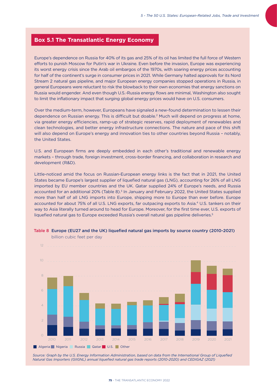## **Box 5.1 The Transatlantic Energy Economy**

Europe's dependence on Russia for 40% of its gas and 25% of its oil has limited the full force of Western efforts to punish Moscow for Putin's war in Ukraine. Even before the invasion, Europe was experiencing its worst energy crisis since the Arab oil embargos of the 1970s, with soaring energy prices accounting for half of the continent's surge in consumer prices in 2021. While Germany halted approvals for its Nord Stream 2 natural gas pipeline, and major European energy companies stopped operations in Russia, in general Europeans were reluctant to risk the blowback to their own economies that energy sanctions on Russia would engender. And even though U.S.-Russia energy flows are minimal, Washington also sought to limit the inflationary impact that surging global energy prices would have on U.S. consumers.

Over the medium-term, however, Europeans have signaled a new-found determination to lessen their dependence on Russian energy. This is difficult but doable.2 Much will depend on progress at home, via greater energy efficiencies, ramp-up of strategic reserves, rapid deployment of renewables and clean technologies, and better energy infrastructure connections. The nature and pace of this shift will also depend on Europe's energy and innovation ties to other countries beyond Russia – notably, the United States.

U.S. and European firms are deeply embedded in each other's traditional and renewable energy markets – through trade, foreign investment, cross-border financing, and collaboration in research and development (R&D).

Little-noticed amid the focus on Russian-European energy links is the fact that in 2021, the United States became Europe's largest supplier of liquefied natural gas (LNG), accounting for 26% of all LNG imported by EU member countries and the UK. Qatar supplied 24% of Europe's needs, and Russia accounted for an additional 20% (Table 8).<sup>3</sup> In January and February 2022, the United States supplied more than half of all LNG imports into Europe, shipping more to Europe than ever before. Europe accounted for about 75% of all U.S. LNG exports, far outpacing exports to Asia.4 U.S. tankers on their way to Asia literally turned around to head for Europe. Moreover, for the first time ever, U.S. exports of liquefied natural gas to Europe exceeded Russia's overall natural gas pipeline deliveries.<sup>5</sup>



#### Table 8 Europe (EU27 and the UK) liquefied natural gas imports by source country (2010-2021)

*Source: Graph by the U.S. Energy Information Administration, based on data from the International Group of Liquefied Natural Gas Importers (GIIGNL) annual liquefied natural gas trade reports (2010-2020) and CEDIGAZ (2021)*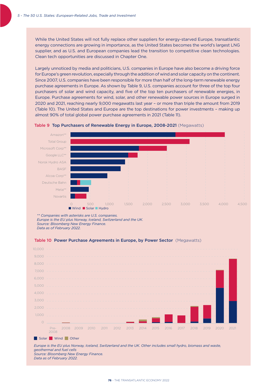While the United States will not fully replace other suppliers for energy-starved Europe, transatlantic energy connections are growing in importance, as the United States becomes the world's largest LNG supplier, and as U.S. and European companies lead the transition to competitive clean technologies. Clean tech opportunities are discussed in Chapter One.

Largely unnoticed by media and politicians, U.S. companies in Europe have also become a driving force for Europe's green revolution, especially through the addition of wind and solar capacity on the continent. Since 2007, U.S. companies have been responsible for more than half of the long-term renewable energy purchase agreements in Europe. As shown by Table 9, U.S. companies account for three of the top four purchasers of solar and wind capacity, and five of the top ten purchasers of renewable energies, in Europe. Purchase agreements for wind, solar, and other renewable power sources in Europe surged in 2020 and 2021, reaching nearly 9,000 megawatts last year – or more than triple the amount from 2019 (Table 10). The United States and Europe are the top destinations for power investments – making up almost 90% of total global power purchase agreements in 2021 (Table 11).





*\*\* Companies with asterisks are U.S. companies. Europe is the EU plus Norway, Iceland, Switzerland and the UK. Source: Bloomberg New Energy Finance. Data as of February 2022.* 





*Europe is the EU plus Norway, Iceland, Switzerland and the UK. Other includes small hydro, biomass and waste, geothermal and fuel cells Source: Bloomberg New Energy Finance. Data as of February 2022.*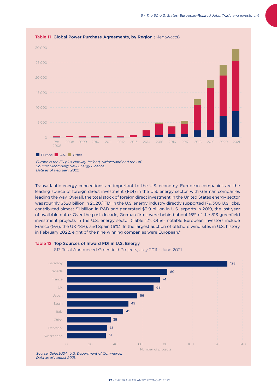

Europe U.S. Other

*Europe is the EU plus Norway, Iceland, Switzerland and the UK. Source: Bloomberg New Energy Finance. Data as of February 2022.*

Transatlantic energy connections are important to the U.S. economy. European companies are the leading source of foreign direct investment (FDI) in the U.S. energy sector, with German companies leading the way. Overall, the total stock of foreign direct investment in the United States energy sector was roughly \$320 billion in 2020.<sup>6</sup> FDI in the U.S. energy industry directly supported 179,300 U.S. jobs, contributed almost \$1 billion in R&D and generated \$3.9 billion in U.S. exports in 2019, the last year of available data.7 Over the past decade, German firms were behind about 16% of the 813 greenfield investment projects in the U.S. energy sector (Table 12). Other notable European investors include France (9%), the UK (8%), and Spain (6%). In the largest auction of offshore wind sites in U.S. history in February 2022, eight of the nine winning companies were European.<sup>8</sup>



813 Total Announced Greenfield Projects, July 2011 - June 2021



*Data as of August 2021.*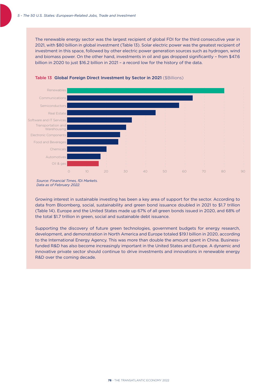The renewable energy sector was the largest recipient of global FDI for the third consecutive year in 2021, with \$80 billion in global investment (Table 13). Solar electric power was the greatest recipient of investment in this space, followed by other electric power generation sources such as hydrogen, wind and biomass power. On the other hand, investments in oil and gas dropped significantly – from \$47.6 billion in 2020 to just \$16.2 billion in 2021 – a record low for the history of the data.



#### Table 13 Global Foreign Direct Investment by Sector in 2021 (\$Billions)

Growing interest in sustainable investing has been a key area of support for the sector. According to data from Bloomberg, social, sustainability and green bond issuance doubled in 2021 to \$1.7 trillion (Table 14). Europe and the United States made up 67% of all green bonds issued in 2020, and 68% of the total \$1.7 trillion in green, social and sustainable debt issuance.

Supporting the discovery of future green technologies, government budgets for energy research, development, and demonstration in North America and Europe totaled \$19.1 billion in 2020, according to the International Energy Agency. This was more than double the amount spent in China. Businessfunded R&D has also become increasingly important in the United States and Europe. A dynamic and innovative private sector should continue to drive investments and innovations in renewable energy R&D over the coming decade.

*Source: Financial Times, fDi Markets. Data as of February 2022.*